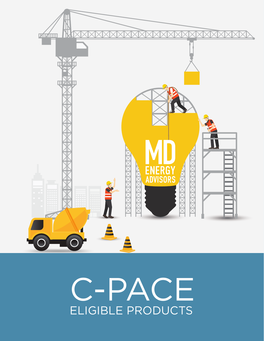

# C-PACE ELIGIBLE PRODUCTS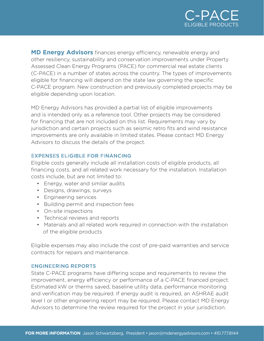

**MD Energy Advisors** finances energy efficiency, renewable energy and other resiliency, sustainability and conservation improvements under Property Assessed Clean Energy Programs (PACE) for commercial real estate clients (C-PACE) in a number of states across the country. The types of improvements eligible for financing will depend on the state law governing the specific C-PACE program. New construction and previously completed projects may be eligible depending upon location.

MD Energy Advisors has provided a partial list of eligible improvements and is intended only as a reference tool. Other projects may be considered for financing that are not included on this list. Requirements may vary by jurisdiction and certain projects such as seismic retro fits and wind resistance improvements are only available in limited states. Please contact MD Energy Advisors to discuss the details of the project.

#### **EXPENSES ELIGIBLE FOR FINANCING**

Eligible costs generally include all installation costs of eligible products, all financing costs, and all related work necessary for the installation. Installation costs include, but are not limited to:

- Energy, water and similar audits
- Designs, drawings, surveys
- Engineering services
- Building permit and inspection fees
- On-site inspections
- Technical reviews and reports
- Materials and all related work required in connection with the installation of the eligible products

Eligible expenses may also include the cost of pre-paid warranties and service contracts for repairs and maintenance.

#### **ENGINEERING REPORTS**

State C-PACE programs have differing scope and requirements to review the improvement, energy efficiency or performance of a C-PACE financed project. Estimated kW or therms saved, baseline utility data, performance monitoring and verification may be required. If energy audit is required, an ASHRAE audit level I or other engineering report may be required. Please contact MD Energy Advisors to determine the review required for the project in your jurisdiction.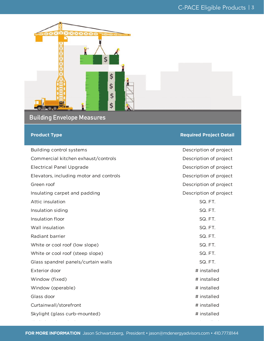

# **Building Envelope Measures**

#### **Product Type Required Project Detail**

| Building control systems                | Description of project |
|-----------------------------------------|------------------------|
| Commercial kitchen exhaust/controls     | Description of project |
| <b>Electrical Panel Upgrade</b>         | Description of project |
| Elevators, including motor and controls | Description of project |
| Green roof                              | Description of project |
| Insulating carpet and padding           | Description of project |
| Attic insulation                        | SQ.FT.                 |
| Insulation siding                       | SQ. FT.                |
| Insulation floor                        | SQ. FT.                |
| Wall insulation                         | SQ. FT.                |
| Radiant barrier                         | SQ. FT.                |
| White or cool roof (low slope)          | SQ.FT.                 |
| White or cool roof (steep slope)        | SQ. FT.                |
| Glass spandrel panels/curtain walls     | SQ.FT.                 |
| Exterior door                           | # installed            |
| Window (fixed)                          | # installed            |
| Window (operable)                       | # installed            |
| Glass door                              | # installed            |
| Curtainwall/storefront                  | # installed            |
| Skylight (glass curb-mounted)           | # installed            |

**FOR MORE INFORMATION** Jason Schwartzberg, President • jason@mdenergyadvisors.com • 410.777.8144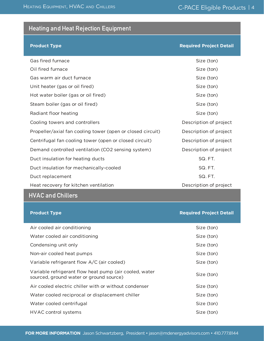# **Heating and Heat Rejection Equipment**

HEATING EQUIPMENT, HVAC AND CHILLERS

#### **Product Type Required Project Detail**

| Gas fired furnace                                          | Size (ton)             |
|------------------------------------------------------------|------------------------|
| Oil fired furnace                                          | Size (ton)             |
| Gas warm air duct furnace                                  | Size (ton)             |
| Unit heater (gas or oil fired)                             | Size (ton)             |
| Hot water boiler (gas or oil fired)                        | Size (ton)             |
| Steam boiler (gas or oil fired)                            | Size (ton)             |
| Radiant floor heating                                      | Size (ton)             |
| Cooling towers and controllers                             | Description of project |
| Propeller/axial fan cooling tower (open or closed circuit) | Description of project |
| Centrifugal fan cooling tower (open or closed circuit)     | Description of project |
| Demand controlled ventilation (CO2 sensing system)         | Description of project |
| Duct insulation for heating ducts                          | SQ.FT.                 |
| Duct insulation for mechanically-cooled                    | SQ.FT.                 |
| Duct replacement                                           | SQ. FT.                |
| Heat recovery for kitchen ventilation                      | Description of project |

# **HVAC and Chillers**

| <b>Product Type</b>                                                                               | <b>Required Project Detail</b> |
|---------------------------------------------------------------------------------------------------|--------------------------------|
| Air cooled air conditioning                                                                       | Size (ton)                     |
| Water cooled air conditioning                                                                     | Size (ton)                     |
| Condensing unit only                                                                              | Size (ton)                     |
| Non-air cooled heat pumps                                                                         | Size (ton)                     |
| Variable refrigerant flow A/C (air cooled)                                                        | Size (ton)                     |
| Variable refrigerant flow heat pump (air cooled, water<br>sourced, ground water or ground source) | Size (ton)                     |
| Air cooled electric chiller with or without condenser                                             | Size (ton)                     |
| Water cooled reciprocal or displacement chiller                                                   | Size (ton)                     |
| Water cooled centrifugal                                                                          | Size (ton)                     |
| <b>HVAC control systems</b>                                                                       | Size (ton)                     |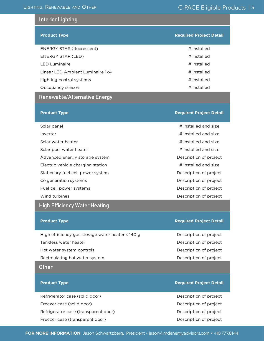#### **Interior Lighting**

| <b>Product Type</b>              | <b>Required Project Detail</b> |
|----------------------------------|--------------------------------|
| <b>ENERGY STAR (fluorescent)</b> | # installed                    |
| ENERGY STAR (LED)                | # installed                    |
| <b>LED Luminaire</b>             | # installed                    |
| Linear LED Ambient Luminaire 1x4 | # installed                    |
| Lighting control systems         | # installed                    |
| Occupancy sensors                | # installed                    |

## **Renewable/Alternative Energy**

| <b>Product Type</b>                                   | <b>Required Project Detail</b> |
|-------------------------------------------------------|--------------------------------|
| Solar panel                                           | # installed and size           |
| Inverter                                              | # installed and size           |
| Solar water heater                                    | # installed and size           |
| Solar pool water heater                               | # installed and size           |
| Advanced energy storage system                        | Description of project         |
| Electric vehicle charging station                     | # installed and size           |
| Stationary fuel cell power system                     | Description of project         |
| Co generation systems                                 | Description of project         |
| Fuel cell power systems                               | Description of project         |
| Wind turbines                                         | Description of project         |
| High Efficiency Water Heating                         |                                |
| <b>Product Type</b>                                   | <b>Required Project Detail</b> |
| High efficiency gas storage water heater $\leq 140$ g | Description of project         |

Tankless water heater **Description of project** Description of project Hot water system controls **EXECUTE:** Description of project Recirculating hot water system **Description** of project

#### **Other**

#### **Product Type Required Project Detail**

Refrigerator case (solid door) Description of project Freezer case (solid door) and the control of project of project of project of project of project of  $\mathbb{R}^n$ Refrigerator case (transparent door) Description of project Freezer case (transparent door) Description of project

#### **FOR MORE INFORMATION** Jason Schwartzberg, President • jason@mdenergyadvisors.com • 410.777.8144